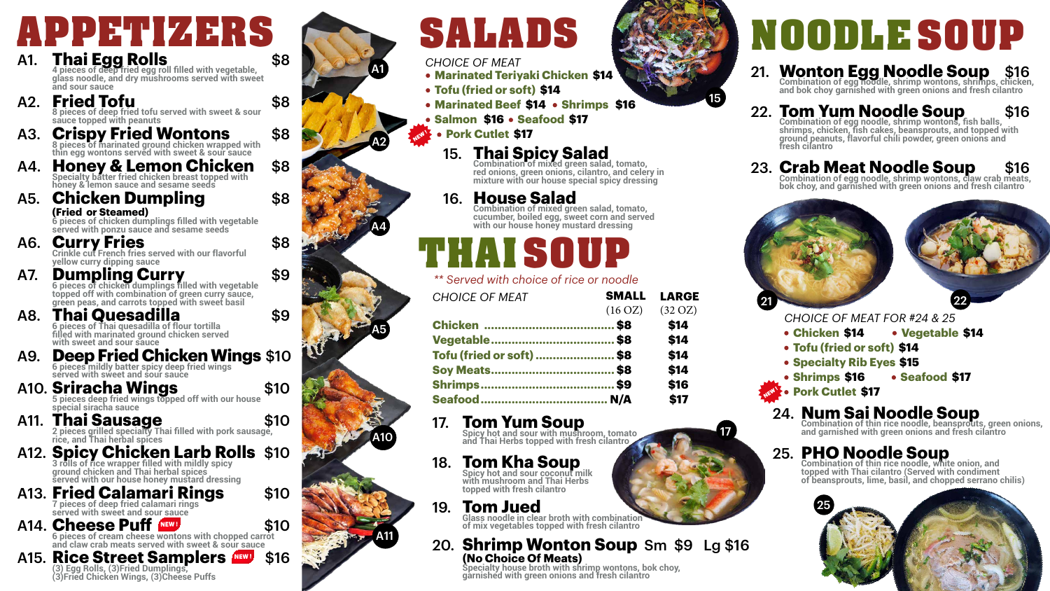## **APPETIZERS**<br>A1. Thai Egg Rolls \$8 Thai Egg Rolls<br>4 pieces of deep fried egg roll filled with vegetable,<br>glass noodle, and dry mushrooms served with sweet  **and sour sauce**

- A2. **Fried Tofu** \$8 **<sup>8</sup> pieces of deep fried tofu served with sweet & sour sauce topped with peanuts**
- A3. **Crispy Fried Wontons** \$8 **<sup>8</sup> pieces of marinated ground chicken wrapped with thin egg wontons served with sweet & sour sauce**
- A4. **Honey & Lemon Chicken** \$8  **Specialty batter fried chicken breast topped with honey & lemon sauce and sesame seeds**
- A5. **Chicken Dumpling** \$8

**(Fried or Steamed) <sup>6</sup> pieces of chicken dumplings filled with vegetable served with ponzu sauce and sesame seeds**

- A6. **Curry Fries** \$8
	- **yellow curry dipping sauce**
- A7. Dumpling Curry 6 pieces of chicken dumplings filled with vegetable topped off with combination of green curry sauce,  **green peas, and carrots topped with sweet basil**
- A8. **Thai Quesadilla** \$9 **<sup>6</sup> pieces of Thai quesadilla of flour tortilla filled with marinated ground chicken served with sweet and sour sauce**
- A9. **Deep Fried Chicken Wings** \$10 **<sup>6</sup> pieces mildly batter spicy deep fried wings served with sweet and sour sauce**
- A10. **Sriracha Wings** \$10 **<sup>5</sup> pieces deep fried wings topped off with our house special siracha sauce**
- A11. **Thai Sausage** \$10 **<sup>2</sup> pieces grilled specialty Thai filled with pork sausage, rice, and Thai herbal spices**
- A12. Spicy Chicken Larb Rolls \$10<br>3 rolls of rice wrapper filled with mildly spicy<br>ground chicken and Thai herbal spices<br>served with our house honey mustard dressing
- A13. **Fried Calamari Rings** \$10 **<sup>7</sup> pieces of deep fried calamari rings served with sweet and sour sauce**
- A14. Cheese Puff **NEW!**<br>6 pieces of cream cheese wontons with chopped carrot  **and claw crab meats served with sweet & sour sauce**
- A15. **Rice Street Samplers** \$16  **(3) Egg Rolls, (3)Fried Dumplings, (3)Fried Chicken Wings, (3)Cheese Puffs**

22. Tom Yum Noodle Soup<br>
Combination of egg noodle, shrimp wontons, fish balls,<br>
shrimps, chicken, fish cakes, beansprouts, and topped with<br>
ground peanuts, flavorful chili powder, green onions and  **fresh cilantro**

## 23. Crab Meat Noodle Soup \$16<br>Combination of egg noodle, shrimp wontons, claw crab meats,<br>bok choy, and garnished with green onions and fresh cilantro

 **Marinated Teriyaki Chicken \$14 Tofu (fried or soft) \$14 • Marinated Beef \$14 • Shrimps \$16** 

**• Salmon \$16 • Seafood \$17** 

15. Thai Spicy Salad<br>
Combination of mixed green salad, tomato,<br>
red onions, green onions, cilantro, and celery in<br>
mixture with our house special spicy dressing

# **SALADS**

- **Chicken \$14 Vegetable \$14**
- **Tofu (fried or soft) \$14**
- **Specialty Rib Eyes \$15**
- **Shrimps \$16 Seafood \$17**

#### 16. **House Salad**

 **Combination of mixed green salad, tomato, cucumber, boiled egg, sweet corn and served with our house honey mustard dressing**



## 17. **Tom Yum Soup Spicy hot and sour with mushroom, tomato**

 **and Thai Herbs topped with fresh cilantro**

### 18. **Tom Kha Soup Spicy hot and sour coconut milk**

 **with mushroom and Thai Herbs topped with fresh cilantro**

 **Glass noodle in clear broth with combination of mix vegetables topped with fresh cilantro**

# **NOODLE SOUP**

## 21. Wonton Egg Noodle Soup \$16<br>Combination of egg hoodle, shrimp wontons, shrimps, chicken,<br>and bok choy garnished with green onions and fresh cilantro

| $\mathsf{\Gamma}$ MEAT $\mathsf{\Gamma}$ | <b>SMALL</b>        | <b>LARGE</b> |
|------------------------------------------|---------------------|--------------|
|                                          | (16 <sub>O</sub> Z) | (32 OZ)      |
|                                          |                     | \$14         |
|                                          |                     | \$14         |
| or soft)  \$8                            |                     | \$14         |
|                                          |                     | \$14         |
|                                          |                     | \$16         |
| N/A                                      |                     | \$17         |



## 20. **Shrimp Wonton Soup** Sm \$9 Lg \$16

(No Choice Of Meats)<br>Specialty house broth with shrimp wontons, bok choy,<br>garnished with green onions and fresh cilantro

17

 **Pork Cutlet \$17**

## 24. Num Sai Noodle Soup<br>Combination of thin rice noodle, beansprouts, green onions,<br>and garnished with green onions and fresh cilantro















#### *\*\* Served with choice of rice or noodle*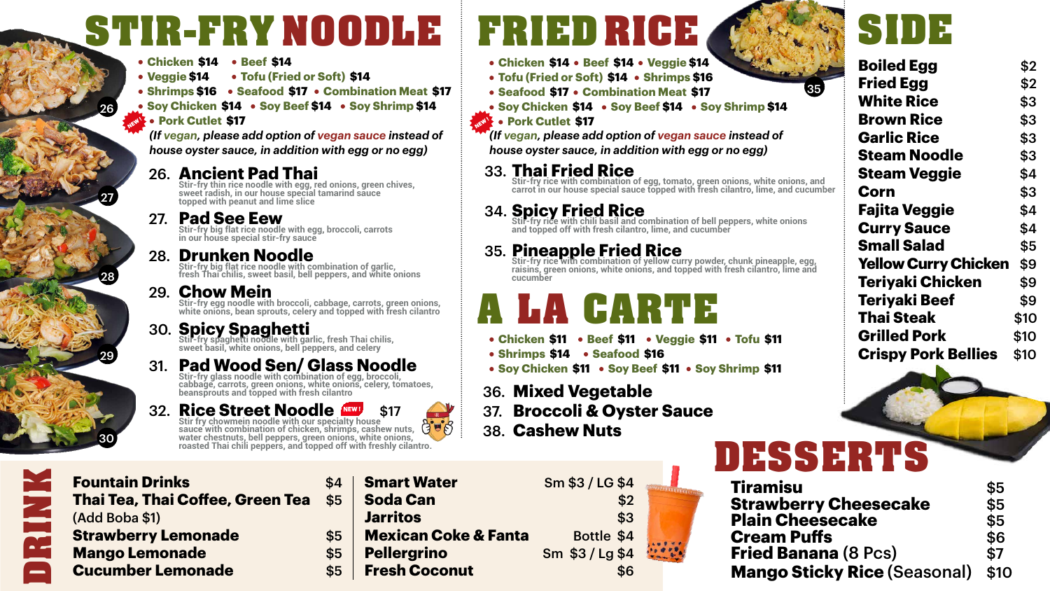# **STIR-FRY NOODLE**

- **Chicken \$14 Beef \$14**
- 
- **Veggie \$14 Tofu (Fried or Soft) \$14**
- **Shrimps \$16 Seafood \$17 Combination Meat \$17**
- **Soy Chicken \$14 Soy Beef \$14 Soy Shrimp \$14 Pork Cutlet \$17**

### 26. **Ancient Pad Thai**

 **Stir-fry thin rice noodle with egg, red onions, green chives, sweet radish, in our house special tamarind sauce topped with peanut and lime slice**

#### 27. **Pad See Eew**

 **Stir-fry big flat rice noodle with egg, broccoli, carrots in our house special stir-fry sauce**

### 28. **Drunken Noodle**

Stir-fry big flat rice noodle with combination of garlic,<br>fresh Thai chilis, sweet basil, bell peppers, and white onions

### 29. **Chow Mein**

Stir-fry egg noodle with broccoli, cabbage, carrots, green onions,<br>white onions, bean sprouts, celery and topped with fresh cilantro

- **Chicken \$14 Beef \$14 Veggie \$14**
- **Tofu (Fried or Soft) \$14 Shrimps \$16**
- **Seafood \$17 Combination Meat \$17**
- **Soy Chicken \$14 Soy Beef \$14 Soy Shrimp \$14**

#### **889<sup>17</sup> • Pork Cutlet \$17**

## 30. **Spicy Spaghetti Stir-fry spaghetti noodle with garlic, fresh Thai chilis,**

 **sweet basil, white onions, bell peppers, and celery**

31. Pad Wood Sen/Glass Noodle<br>Stir-fry glass noodle with combination of egg, broccoli,<br>cabbage, carrots, green onions, white onions, celery, tomatoes,<br>beansprouts and topped with fresh cilantro

### **32. Rice Street Noodle NEW!** \$17

35. Pineapple Fried Rice<br>Stir-fry rice with combination of yellow curry powder, chunk pineapple, egg,<br>raisins, green onions, white onions, and topped with fresh cilantro, lime and  **cucumber**

**Boiled Egg** \$2 Fried Egg \$2 **White Rice** \$3 **Brown Rice** \$3 Garlic Rice \$3 **Steam Noodle** \$3 **Steam Veggie** \$4 **Corn** \$3 **Fajita Veggie** \$4 **Curry Sauce \$4 Small Salad \$5** Yellow Curry Chicken \$9 **Teriyaki Chicken** \$9 **Teriyaki Beef** \$9 **Thai Steak** \$10 Grilled Pork \$10 **Crispy Pork Bellies** \$10





 **sauce with combination of chicken, shrimps, cashew nuts,**



- **Chicken \$11 Beef \$11 Veggie \$11 Tofu \$11**
- **Shrimps \$14 Seafood \$16**
- Soy Chicken \$11 Soy Beef \$11 Soy Shrimp \$11
- 36. **Mixed Vegetable**
- 37. **Broccoli & Oyster Sauce**
- 38. **Cashew Nuts**



*(If vegan, please add option of vegan sauce instead of house oyster sauce, in addition with egg or no egg)*

# **FRIED RICE**

#### *(If vegan, please add option of vegan sauce instead of*

*house oyster sauce, in addition with egg or no egg)*

#### 33. **Thai Fried Rice**

 **Stir-fry rice with combination of egg, tomato, green onions, white onions, and carrot in our house special sauce topped with fresh cilantro, lime, and cucumber**

34. **Spicy Fried Rice Stir-fry rice with chili basil and combination of bell peppers, white onions and topped off with fresh cilantro, lime, and cucumber**

# **SIDE**

## **A LA CARTE**

# **DESSERTS**

| <b>Fountain Drinks</b>                  | \$4 |
|-----------------------------------------|-----|
| <b>Thai Tea, Thai Coffee, Green Tea</b> | \$5 |
| (Add Boba \$1)                          |     |
| <b>Strawberry Lemonade</b>              | \$5 |
| <b>Mango Lemonade</b>                   | \$5 |
| <b>Cucumber Lemonade</b>                | \$5 |

**Smart Water 5 and \$3 / LG \$4 Soda Can** \$2 **Jarritos** \$3 **Mexican Coke & Fanta** Bottle \$4 Pellergrino Sm \$3/Lg \$4 **Fresh Coconut**  $$6$ 

26

27

28

29

30

35

**Tiramisu Strawberry Cheesecake** \$5<br>Plain Cheesecake \$5 **Plain Cheesecake**  $$5$ <br>**Cream Puffs**  $$6$ **Cream Puffs**  $$6$ <br>Fried Banana (8 Pcs) \$7 **Fried Banana (8 Pcs) Mango Sticky Rice (Seasonal) \$10**